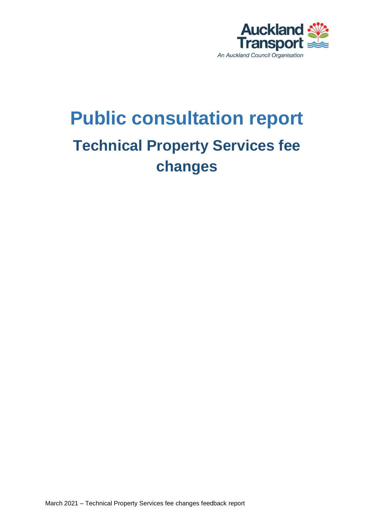

# **Public consultation report Technical Property Services fee changes**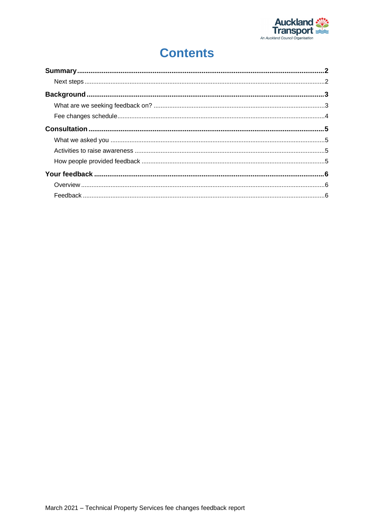

### **Contents**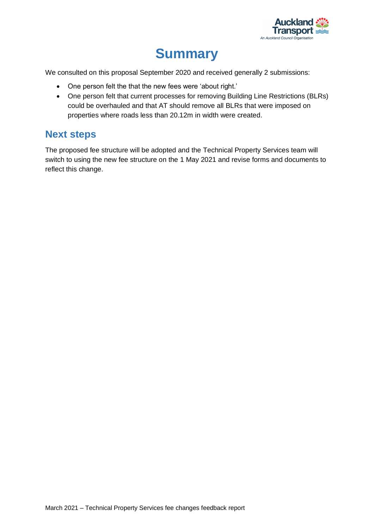

## **Summary**

<span id="page-2-0"></span>We consulted on this proposal September 2020 and received generally 2 submissions:

- One person felt the that the new fees were 'about right.'
- One person felt that current processes for removing Building Line Restrictions (BLRs) could be overhauled and that AT should remove all BLRs that were imposed on properties where roads less than 20.12m in width were created.

#### <span id="page-2-1"></span>**Next steps**

The proposed fee structure will be adopted and the Technical Property Services team will switch to using the new fee structure on the 1 May 2021 and revise forms and documents to reflect this change.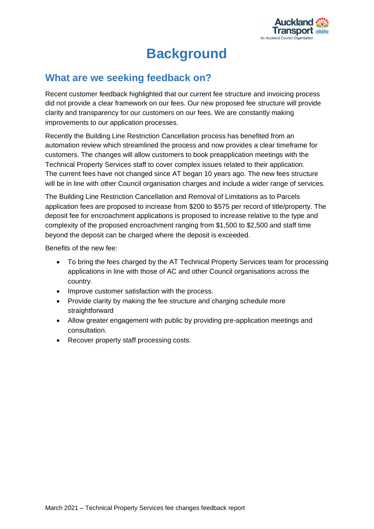

## **Background**

### <span id="page-3-1"></span><span id="page-3-0"></span>**What are we seeking feedback on?**

Recent customer feedback highlighted that our current fee structure and invoicing process did not provide a clear framework on our fees. Our new proposed fee structure will provide clarity and transparency for our customers on our fees. We are constantly making improvements to our application processes.

Recently the Building Line Restriction Cancellation process has benefited from an automation review which streamlined the process and now provides a clear timeframe for customers. The changes will allow customers to book preapplication meetings with the Technical Property Services staff to cover complex issues related to their application. The current fees have not changed since AT began 10 years ago. The new fees structure will be in line with other Council organisation charges and include a wider range of services.

The Building Line Restriction Cancellation and Removal of Limitations as to Parcels application fees are proposed to increase from \$200 to \$575 per record of title/property. The deposit fee for encroachment applications is proposed to increase relative to the type and complexity of the proposed encroachment ranging from \$1,500 to \$2,500 and staff time beyond the deposit can be charged where the deposit is exceeded.

Benefits of the new fee:

- To bring the fees charged by the AT Technical Property Services team for processing applications in line with those of AC and other Council organisations across the country.
- Improve customer satisfaction with the process.
- Provide clarity by making the fee structure and charging schedule more straightforward
- Allow greater engagement with public by providing pre-application meetings and consultation.
- Recover property staff processing costs.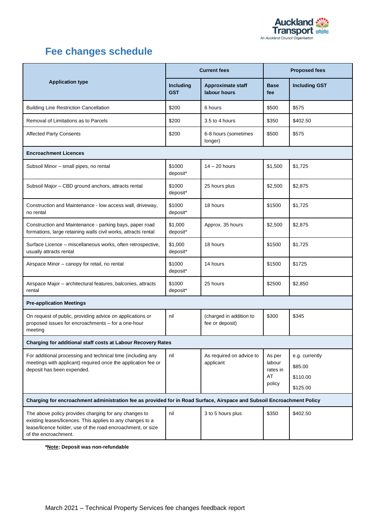

### <span id="page-4-0"></span>**Fee changes schedule**

| <b>Application type</b>                                                                                                                                                                                    | <b>Current fees</b>     |                                            | <b>Proposed fees</b>                         |                                                   |  |
|------------------------------------------------------------------------------------------------------------------------------------------------------------------------------------------------------------|-------------------------|--------------------------------------------|----------------------------------------------|---------------------------------------------------|--|
|                                                                                                                                                                                                            | Including<br><b>GST</b> | <b>Approximate staff</b><br>labour hours   | <b>Base</b><br>fee                           | <b>Including GST</b>                              |  |
| <b>Building Line Restriction Cancellation</b>                                                                                                                                                              | \$200                   | 6 hours                                    | \$500                                        | \$575                                             |  |
| Removal of Limitations as to Parcels                                                                                                                                                                       | \$200                   | 3.5 to 4 hours                             | \$350                                        | \$402.50                                          |  |
| <b>Affected Party Consents</b>                                                                                                                                                                             | \$200                   | 6-8 hours (sometimes<br>longer)            | \$500                                        | \$575                                             |  |
| <b>Encroachment Licences</b>                                                                                                                                                                               |                         |                                            |                                              |                                                   |  |
| Subsoil Minor - small pipes, no rental                                                                                                                                                                     | \$1000<br>deposit*      | $14 - 20$ hours                            | \$1,500                                      | \$1,725                                           |  |
| Subsoil Major - CBD ground anchors, attracts rental                                                                                                                                                        | \$1000<br>deposit*      | 25 hours plus                              | \$2,500                                      | \$2,875                                           |  |
| Construction and Maintenance - low access wall, driveway,<br>no rental                                                                                                                                     | \$1000<br>deposit*      | 18 hours                                   | \$1500                                       | \$1,725                                           |  |
| Construction and Maintenance - parking bays, paper road<br>formations, large retaining walls civil works, attracts rental                                                                                  | \$1,000<br>deposit*     | Approx. 35 hours                           | \$2,500                                      | \$2,875                                           |  |
| Surface Licence - miscellaneous works, often retrospective,<br>usually attracts rental                                                                                                                     | \$1,000<br>deposit*     | 18 hours                                   | \$1500                                       | \$1,725                                           |  |
| Airspace Minor - canopy for retail, no rental                                                                                                                                                              | \$1000<br>deposit*      | 14 hours                                   | \$1500                                       | \$1725                                            |  |
| Airspace Major - architectural features, balconies, attracts<br>rental                                                                                                                                     | \$1000<br>deposit*      | 25 hours                                   | \$2500                                       | \$2,850                                           |  |
| <b>Pre-application Meetings</b>                                                                                                                                                                            |                         |                                            |                                              |                                                   |  |
| On request of public, providing advice on applications or<br>proposed issues for encroachments - for a one-hour<br>meeting                                                                                 | nil                     | (charged in addition to<br>fee or deposit) | \$300                                        | \$345                                             |  |
| Charging for additional staff costs at Labour Recovery Rates                                                                                                                                               |                         |                                            |                                              |                                                   |  |
| For additional processing and technical time (including any<br>meetings with applicant) required once the application fee or<br>deposit has been expended.                                                 | nil                     | As required on advice to<br>applicant      | As per<br>labour<br>rates in<br>AT<br>policy | e.g. currently<br>\$85.00<br>\$110.00<br>\$125.00 |  |
| Charging for encroachment administration fee as provided for in Road Surface, Airspace and Subsoil Encroachment Policy                                                                                     |                         |                                            |                                              |                                                   |  |
| The above policy provides charging for any changes to<br>existing leases/licences. This applies to any changes to a<br>lease/licence holder, use of the road encroachment, or size<br>of the encroachment. | nil                     | 3 to 5 hours plus                          | \$350                                        | \$402.50                                          |  |

**\*Note: Deposit was non-refundable**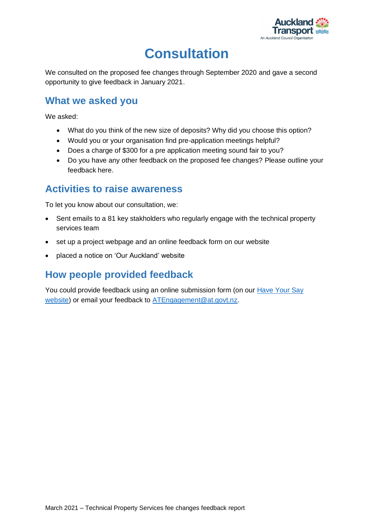

# **Consultation**

<span id="page-5-0"></span>We consulted on the proposed fee changes through September 2020 and gave a second opportunity to give feedback in January 2021.

#### <span id="page-5-1"></span>**What we asked you**

We asked:

- What do you think of the new size of deposits? Why did you choose this option?
- Would you or your organisation find pre-application meetings helpful?
- Does a charge of \$300 for a pre application meeting sound fair to you?
- Do you have any other feedback on the proposed fee changes? Please outline your feedback here.

#### <span id="page-5-2"></span>**Activities to raise awareness**

To let you know about our consultation, we:

- Sent emails to a 81 key stakholders who regularly engage with the technical property services team
- set up a project webpage and an online feedback form on our website
- placed a notice on 'Our Auckland' website

#### <span id="page-5-3"></span>**How people provided feedback**

You could provide feedback using an online submission form (on our [Have Your Say](https://at.govt.nz/haveyoursay)  [website\)](https://at.govt.nz/haveyoursay) or email your feedback to [ATEngagement@at.govt.nz.](mailto:ATEngagement@at.govt.nz)